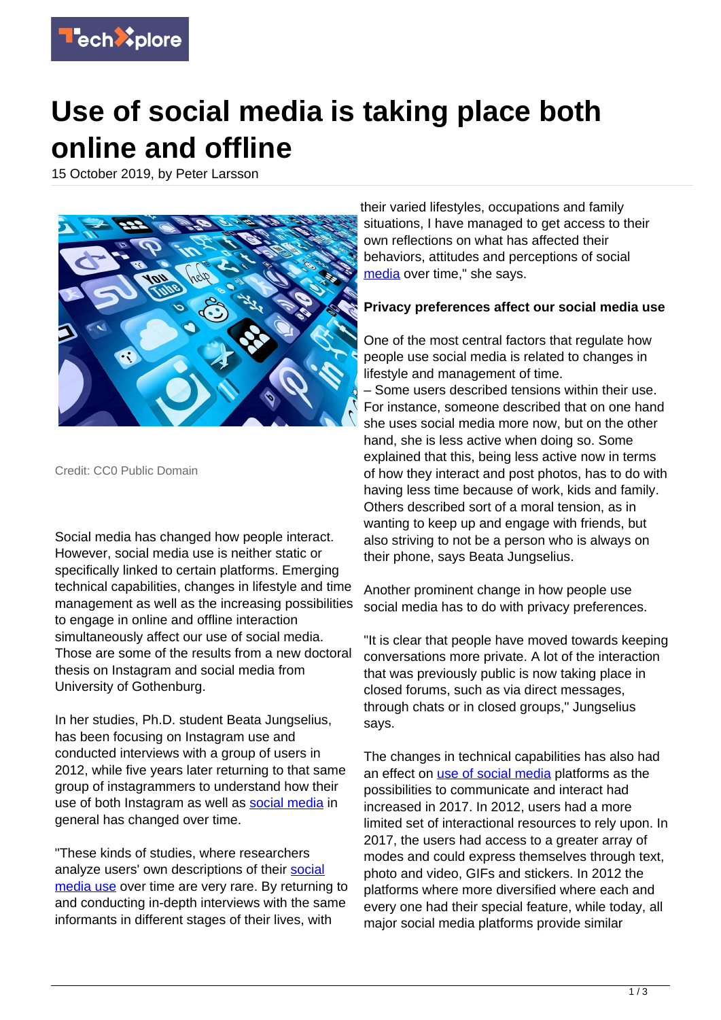

## **Use of social media is taking place both online and offline**

15 October 2019, by Peter Larsson



Credit: CC0 Public Domain

Social media has changed how people interact. However, social media use is neither static or specifically linked to certain platforms. Emerging technical capabilities, changes in lifestyle and time management as well as the increasing possibilities to engage in online and offline interaction simultaneously affect our use of social media. Those are some of the results from a new doctoral thesis on Instagram and social media from University of Gothenburg.

In her studies, Ph.D. student Beata Jungselius, has been focusing on Instagram use and conducted interviews with a group of users in 2012, while five years later returning to that same group of instagrammers to understand how their use of both Instagram as well as [social media](https://techxplore.com/tags/social+media/) in general has changed over time.

"These kinds of studies, where researchers analyze users' own descriptions of their [social](https://techxplore.com/tags/social+media+use/) [media use](https://techxplore.com/tags/social+media+use/) over time are very rare. By returning to and conducting in-depth interviews with the same informants in different stages of their lives, with

their varied lifestyles, occupations and family situations. I have managed to get access to their own reflections on what has affected their behaviors, attitudes and perceptions of social [media](https://techxplore.com/tags/media/) over time," she says.

## **Privacy preferences affect our social media use**

One of the most central factors that regulate how people use social media is related to changes in lifestyle and management of time.

– Some users described tensions within their use. For instance, someone described that on one hand she uses social media more now, but on the other hand, she is less active when doing so. Some explained that this, being less active now in terms of how they interact and post photos, has to do with having less time because of work, kids and family. Others described sort of a moral tension, as in wanting to keep up and engage with friends, but also striving to not be a person who is always on their phone, says Beata Jungselius.

Another prominent change in how people use social media has to do with privacy preferences.

"It is clear that people have moved towards keeping conversations more private. A lot of the interaction that was previously public is now taking place in closed forums, such as via direct messages, through chats or in closed groups," Jungselius says.

The changes in technical capabilities has also had an effect on [use of social media](https://techxplore.com/tags/use+of+social+media/) platforms as the possibilities to communicate and interact had increased in 2017. In 2012, users had a more limited set of interactional resources to rely upon. In 2017, the users had access to a greater array of modes and could express themselves through text, photo and video, GIFs and stickers. In 2012 the platforms where more diversified where each and every one had their special feature, while today, all major social media platforms provide similar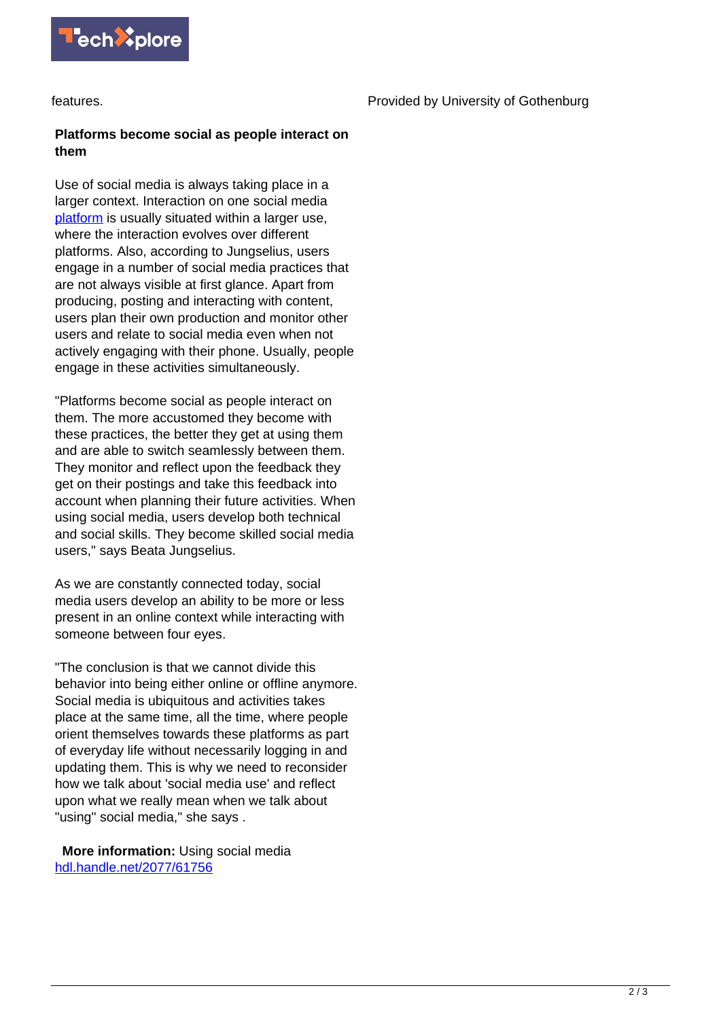

features.

## **Platforms become social as people interact on them**

Use of social media is always taking place in a larger context. Interaction on one social media [platform](https://techxplore.com/tags/platform/) is usually situated within a larger use, where the interaction evolves over different platforms. Also, according to Jungselius, users engage in a number of social media practices that are not always visible at first glance. Apart from producing, posting and interacting with content, users plan their own production and monitor other users and relate to social media even when not actively engaging with their phone. Usually, people engage in these activities simultaneously.

"Platforms become social as people interact on them. The more accustomed they become with these practices, the better they get at using them and are able to switch seamlessly between them. They monitor and reflect upon the feedback they get on their postings and take this feedback into account when planning their future activities. When using social media, users develop both technical and social skills. They become skilled social media users," says Beata Jungselius.

As we are constantly connected today, social media users develop an ability to be more or less present in an online context while interacting with someone between four eyes.

"The conclusion is that we cannot divide this behavior into being either online or offline anymore. Social media is ubiquitous and activities takes place at the same time, all the time, where people orient themselves towards these platforms as part of everyday life without necessarily logging in and updating them. This is why we need to reconsider how we talk about 'social media use' and reflect upon what we really mean when we talk about "using" social media," she says .

 **More information:** Using social media [hdl.handle.net/2077/61756](http://hdl.handle.net/2077/61756)